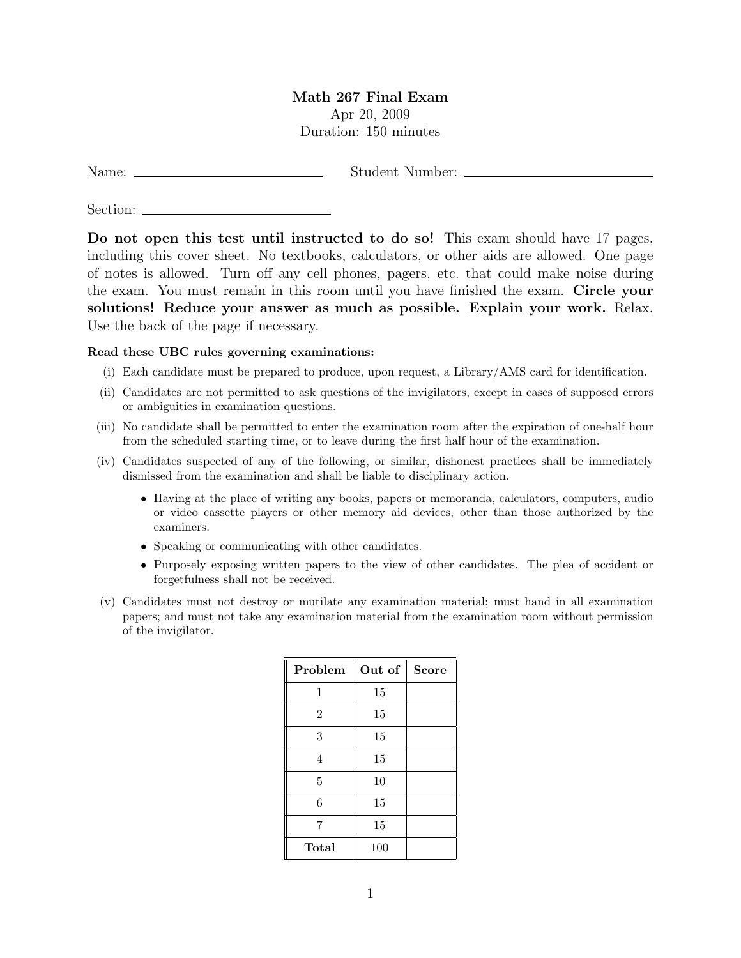# Math 267 Final Exam

Apr 20, 2009 Duration: 150 minutes

| Name: |  | Student Number: |
|-------|--|-----------------|
|       |  |                 |

Section:  $\overline{\phantom{a}}$ 

Do not open this test until instructed to do so! This exam should have 17 pages, including this cover sheet. No textbooks, calculators, or other aids are allowed. One page of notes is allowed. Turn off any cell phones, pagers, etc. that could make noise during the exam. You must remain in this room until you have finished the exam. Circle your solutions! Reduce your answer as much as possible. Explain your work. Relax. Use the back of the page if necessary.

#### Read these UBC rules governing examinations:

- (i) Each candidate must be prepared to produce, upon request, a Library/AMS card for identification.
- (ii) Candidates are not permitted to ask questions of the invigilators, except in cases of supposed errors or ambiguities in examination questions.
- (iii) No candidate shall be permitted to enter the examination room after the expiration of one-half hour from the scheduled starting time, or to leave during the first half hour of the examination.
- (iv) Candidates suspected of any of the following, or similar, dishonest practices shall be immediately dismissed from the examination and shall be liable to disciplinary action.
	- Having at the place of writing any books, papers or memoranda, calculators, computers, audio or video cassette players or other memory aid devices, other than those authorized by the examiners.
	- Speaking or communicating with other candidates.
	- Purposely exposing written papers to the view of other candidates. The plea of accident or forgetfulness shall not be received.
- (v) Candidates must not destroy or mutilate any examination material; must hand in all examination papers; and must not take any examination material from the examination room without permission of the invigilator.

| Problem        | Out of | <b>Score</b> |
|----------------|--------|--------------|
| 1              | 15     |              |
| $\overline{2}$ | 15     |              |
| 3              | 15     |              |
| $\overline{4}$ | 15     |              |
| 5              | 10     |              |
| 6              | 15     |              |
| 7              | 15     |              |
| Total          | 100    |              |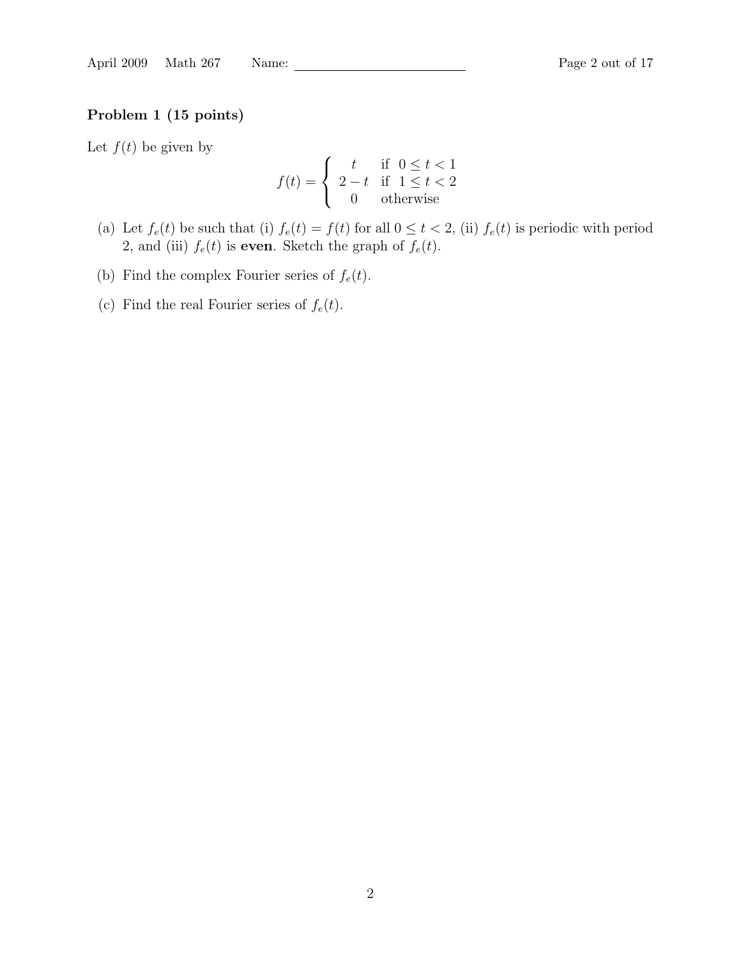#### Problem 1 (15 points)

Let  $f(t)$  be given by

$$
f(t) = \begin{cases} t & \text{if } 0 \le t < 1 \\ 2 - t & \text{if } 1 \le t < 2 \\ 0 & \text{otherwise} \end{cases}
$$

- (a) Let  $f_e(t)$  be such that (i)  $f_e(t) = f(t)$  for all  $0 \le t < 2$ , (ii)  $f_e(t)$  is periodic with period 2, and (iii)  $f_e(t)$  is **even**. Sketch the graph of  $f_e(t)$ .
- (b) Find the complex Fourier series of  $f_e(t)$ .
- (c) Find the real Fourier series of  $f_e(t)$ .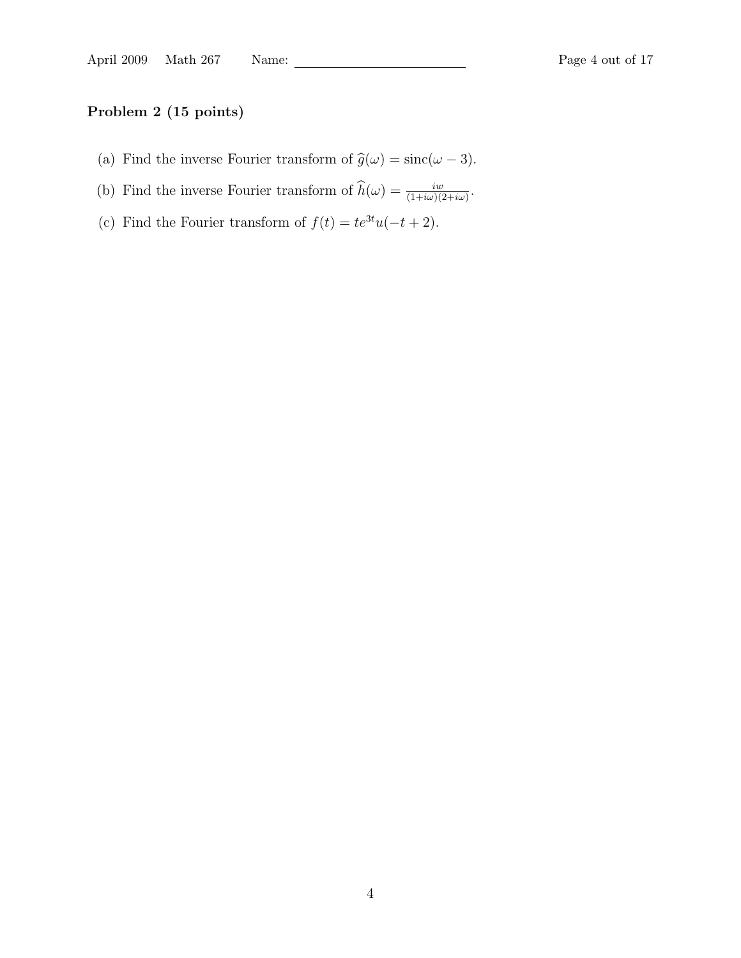# Problem 2 (15 points)

- (a) Find the inverse Fourier transform of  $\hat{g}(\omega) = \text{sinc}(\omega 3)$ .
- (b) Find the inverse Fourier transform of  $\widehat{h}(\omega) = \frac{iw}{(1+i\omega)(2+i\omega)}$ .
- (c) Find the Fourier transform of  $f(t) = te^{3t}u(-t+2)$ .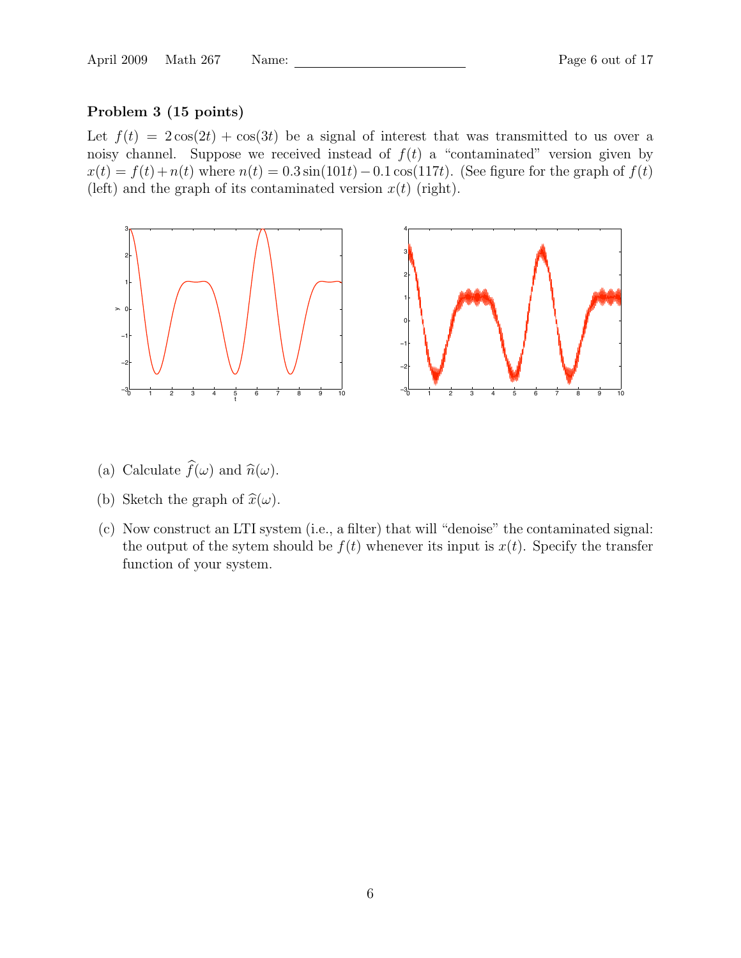## Problem 3 (15 points)

Let  $f(t) = 2\cos(2t) + \cos(3t)$  be a signal of interest that was transmitted to us over a noisy channel. Suppose we received instead of  $f(t)$  a "contaminated" version given by  $x(t) = f(t) + n(t)$  where  $n(t) = 0.3 \sin(101t) - 0.1 \cos(117t)$ . (See figure for the graph of  $f(t)$ ) (left) and the graph of its contaminated version  $x(t)$  (right).



- (a) Calculate  $\widehat{f}(\omega)$  and  $\widehat{n}(\omega)$ .
- (b) Sketch the graph of  $\widehat{x}(\omega)$ .
- (c) Now construct an LTI system (i.e., a filter) that will "denoise" the contaminated signal: the output of the sytem should be  $f(t)$  whenever its input is  $x(t)$ . Specify the transfer function of your system.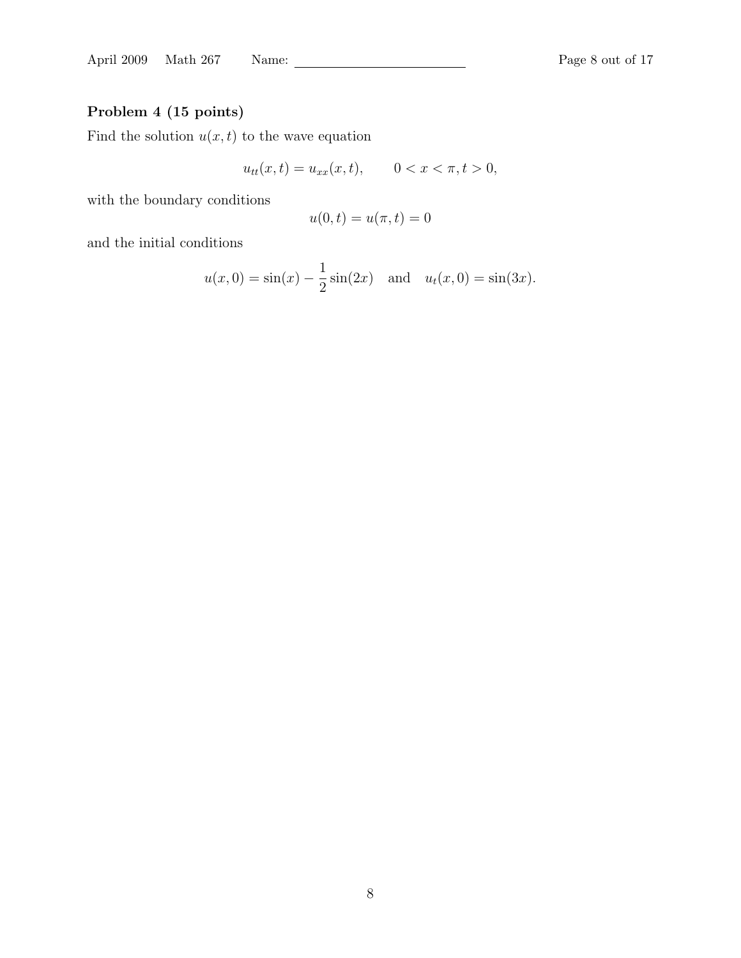April 2009 Math 267 Name: Page 8 out of 17

## Problem 4 (15 points)

Find the solution  $u(x, t)$  to the wave equation

$$
u_{tt}(x,t) = u_{xx}(x,t), \qquad 0 < x < \pi, t > 0,
$$

with the boundary conditions

$$
u(0,t) = u(\pi, t) = 0
$$

and the initial conditions

$$
u(x, 0) = \sin(x) - \frac{1}{2}\sin(2x)
$$
 and  $u_t(x, 0) = \sin(3x)$ .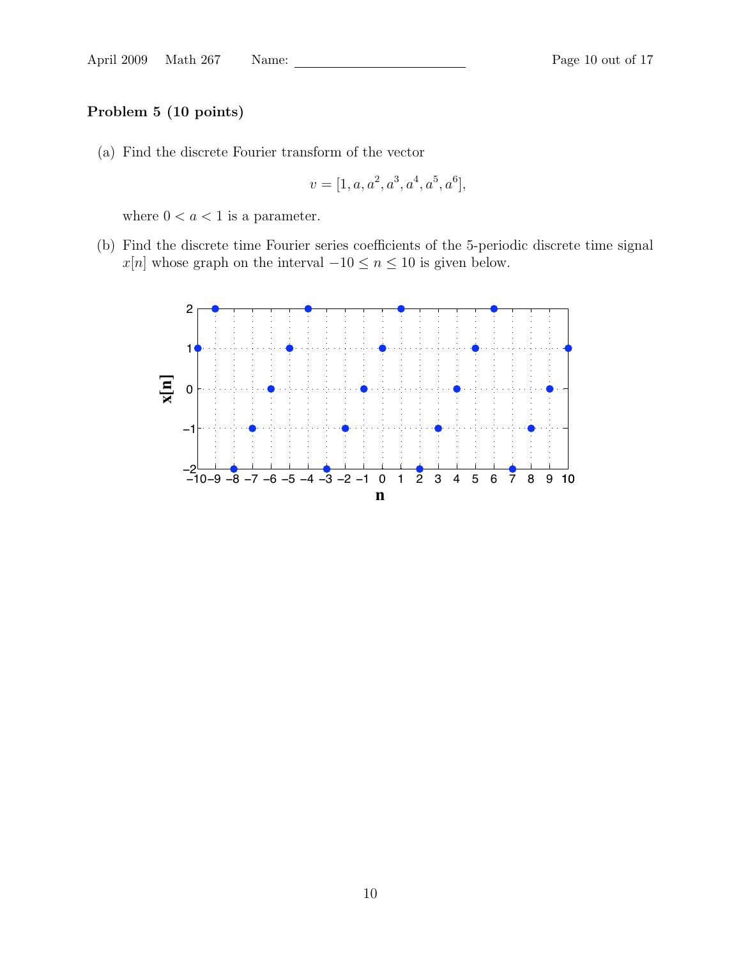## Problem 5 (10 points)

(a) Find the discrete Fourier transform of the vector

$$
v = [1, a, a^2, a^3, a^4, a^5, a^6],
$$

where  $0 < a < 1$  is a parameter.

(b) Find the discrete time Fourier series coefficients of the 5-periodic discrete time signal  $x[n]$  whose graph on the interval  $-10 ≤ n ≤ 10$  is given below.

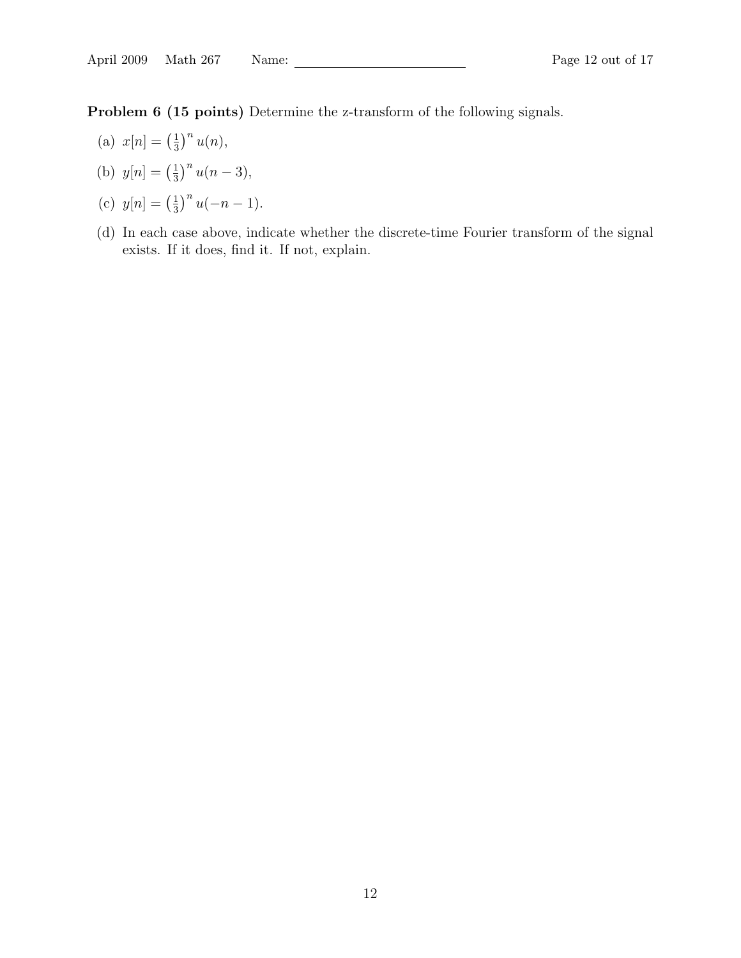Problem 6 (15 points) Determine the z-transform of the following signals.

- (a)  $x[n] = (\frac{1}{3})$  $\frac{1}{3}$  $\int^n u(n)$ ,
- (b)  $y[n] = (\frac{1}{3})$  $\frac{1}{3}$  $\int^n u(n-3)$ ,
- (c)  $y[n] = (\frac{1}{3})$  $\frac{1}{3}$  $\int^n u(-n-1)$ .
- (d) In each case above, indicate whether the discrete-time Fourier transform of the signal exists. If it does, find it. If not, explain.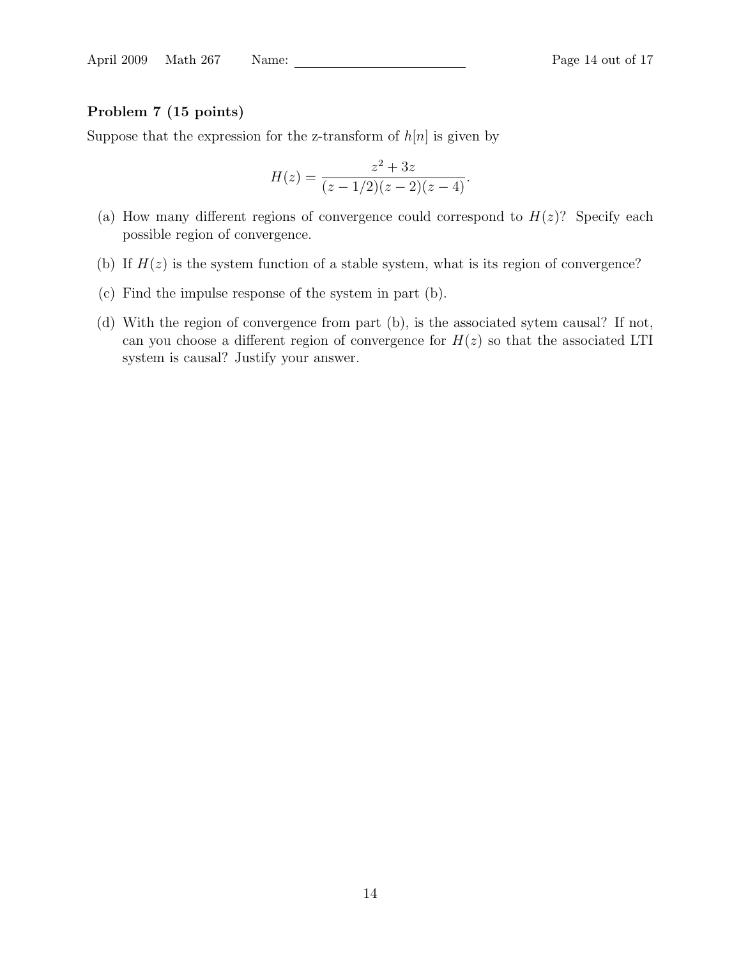#### Problem 7 (15 points)

Suppose that the expression for the z-transform of  $h[n]$  is given by

$$
H(z) = \frac{z^2 + 3z}{(z - 1/2)(z - 2)(z - 4)}.
$$

- (a) How many different regions of convergence could correspond to  $H(z)$ ? Specify each possible region of convergence.
- (b) If  $H(z)$  is the system function of a stable system, what is its region of convergence?
- (c) Find the impulse response of the system in part (b).
- (d) With the region of convergence from part (b), is the associated sytem causal? If not, can you choose a different region of convergence for  $H(z)$  so that the associated LTI system is causal? Justify your answer.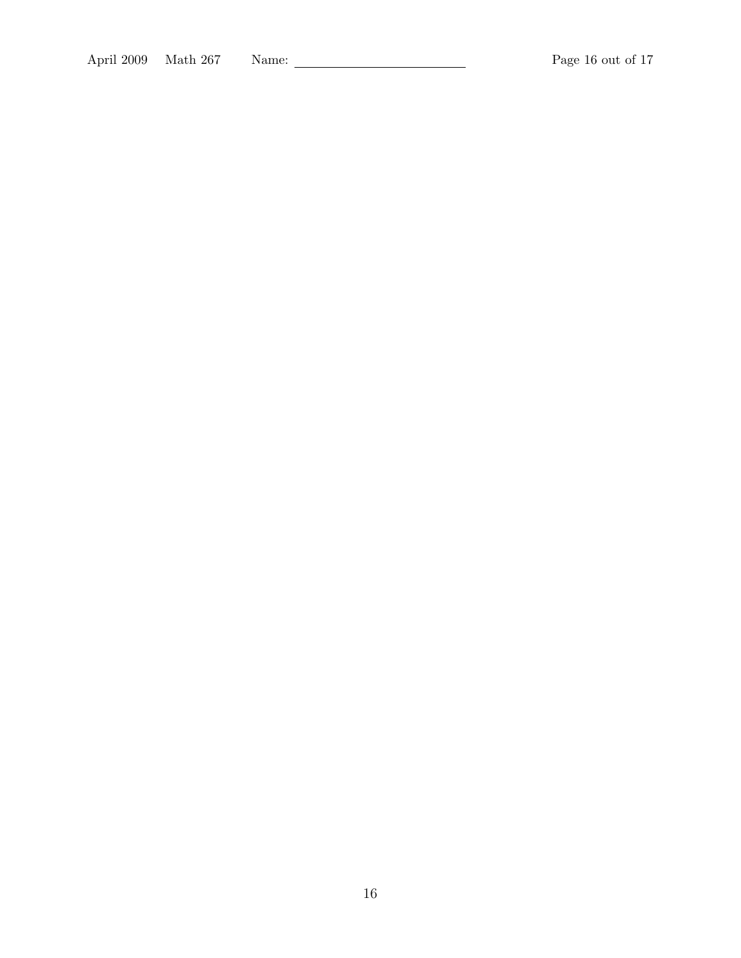April 2009 Math 267 Name: 2009 Math 267 Name: 2009 Page 16 out of 17